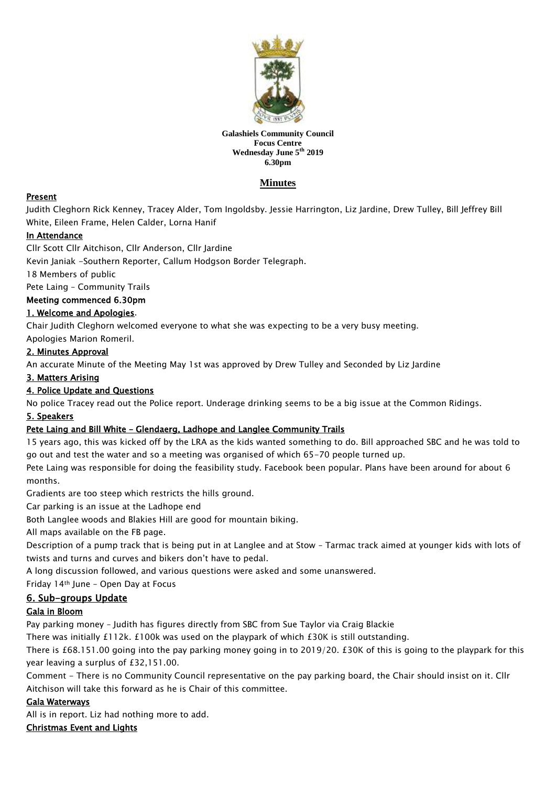

#### **Galashiels Community Council Focus Centre Wednesday June 5th 2019 6.30pm**

# **Minutes**

# Present

Judith Cleghorn Rick Kenney, Tracey Alder, Tom Ingoldsby. Jessie Harrington, Liz Jardine, Drew Tulley, Bill Jeffrey Bill White, Eileen Frame, Helen Calder, Lorna Hanif

# In Attendance

Cllr Scott Cllr Aitchison, Cllr Anderson, Cllr Jardine

Kevin Janiak -Southern Reporter, Callum Hodgson Border Telegraph.

18 Members of public

Pete Laing – Community Trails

### Meeting commenced 6.30pm

### 1. Welcome and Apologies.

Chair Judith Cleghorn welcomed everyone to what she was expecting to be a very busy meeting.

Apologies Marion Romeril.

## 2. Minutes Approval

An accurate Minute of the Meeting May 1st was approved by Drew Tulley and Seconded by Liz Jardine

#### 3. Matters Arising

### 4. Police Update and Questions

No police Tracey read out the Police report. Underage drinking seems to be a big issue at the Common Ridings.

### 5. Speakers

# Pete Laing and Bill White – Glendaerg, Ladhope and Langlee Community Trails

15 years ago, this was kicked off by the LRA as the kids wanted something to do. Bill approached SBC and he was told to go out and test the water and so a meeting was organised of which 65-70 people turned up.

Pete Laing was responsible for doing the feasibility study. Facebook been popular. Plans have been around for about 6 months.

Gradients are too steep which restricts the hills ground.

Car parking is an issue at the Ladhope end

Both Langlee woods and Blakies Hill are good for mountain biking.

All maps available on the FB page.

Description of a pump track that is being put in at Langlee and at Stow – Tarmac track aimed at younger kids with lots of twists and turns and curves and bikers don't have to pedal.

A long discussion followed, and various questions were asked and some unanswered.

Friday 14th June – Open Day at Focus

### 6. Sub-groups Update

### Gala in Bloom

Pay parking money – Judith has figures directly from SBC from Sue Taylor via Craig Blackie

There was initially £112k. £100k was used on the playpark of which £30K is still outstanding.

There is £68.151.00 going into the pay parking money going in to 2019/20. £30K of this is going to the playpark for this year leaving a surplus of £32,151.00.

Comment - There is no Community Council representative on the pay parking board, the Chair should insist on it. Cllr Aitchison will take this forward as he is Chair of this committee.

### Gala Waterways

All is in report. Liz had nothing more to add.

### Christmas Event and Lights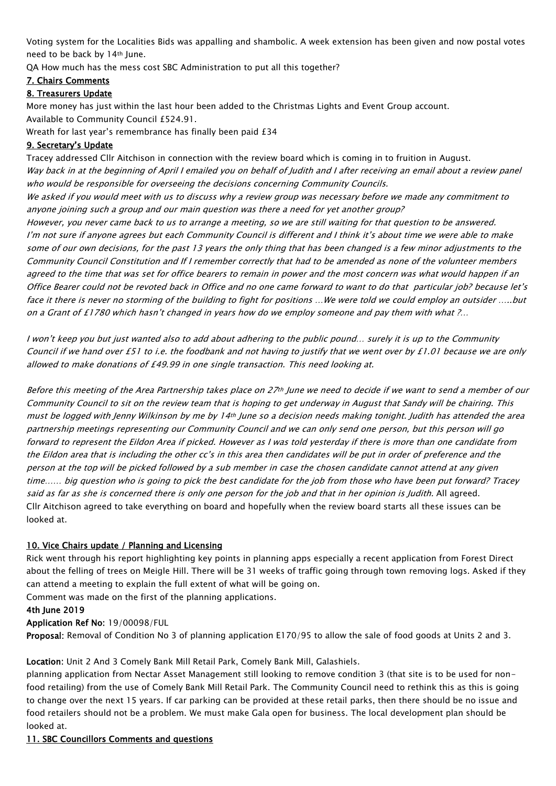Voting system for the Localities Bids was appalling and shambolic. A week extension has been given and now postal votes need to be back by 14th June.

QA How much has the mess cost SBC Administration to put all this together?

### 7. Chairs Comments

### 8. Treasurers Update

More money has just within the last hour been added to the Christmas Lights and Event Group account. Available to Community Council £524.91.

Wreath for last year's remembrance has finally been paid £34

### 9. Secretary's Update

Tracey addressed Cllr Aitchison in connection with the review board which is coming in to fruition in August. Way back in at the beginning of April I emailed you on behalf of Judith and I after receiving an email about a review panel who would be responsible for overseeing the decisions concerning Community Councils.

We asked if you would meet with us to discuss why a review group was necessary before we made any commitment to anyone joining such a group and our main question was there a need for yet another group?

However, you never came back to us to arrange a meeting, so we are still waiting for that question to be answered. I'm not sure if anyone agrees but each Community Council is different and I think it's about time we were able to make some of our own decisions, for the past 13 years the only thing that has been changed is a few minor adjustments to the Community Council Constitution and If I remember correctly that had to be amended as none of the volunteer members agreed to the time that was set for office bearers to remain in power and the most concern was what would happen if an Office Bearer could not be revoted back in Office and no one came forward to want to do that particular job? because let's face it there is never no storming of the building to fight for positions …We were told we could employ an outsider …..but on a Grant of £1780 which hasn't changed in years how do we employ someone and pay them with what ?…

I won't keep you but just wanted also to add about adhering to the public pound… surely it is up to the Community Council if we hand over £51 to i.e. the foodbank and not having to justify that we went over by £1.01 because we are only allowed to make donations of £49.99 in one single transaction. This need looking at.

Before this meeting of the Area Partnership takes place on 27th June we need to decide if we want to send a member of our Community Council to sit on the review team that is hoping to get underway in August that Sandy will be chairing. This must be logged with Jenny Wilkinson by me by 14th June so a decision needs making tonight. Judith has attended the area partnership meetings representing our Community Council and we can only send one person, but this person will go forward to represent the Eildon Area if picked. However as I was told yesterday if there is more than one candidate from the Eildon area that is including the other cc's in this area then candidates will be put in order of preference and the person at the top will be picked followed by a sub member in case the chosen candidate cannot attend at any given time…… big question who is going to pick the best candidate for the job from those who have been put forward? Tracey said as far as she is concerned there is only one person for the job and that in her opinion is Judith. All agreed. Cllr Aitchison agreed to take everything on board and hopefully when the review board starts all these issues can be looked at.

### 10. Vice Chairs update / Planning and Licensing

Rick went through his report highlighting key points in planning apps especially a recent application from Forest Direct about the felling of trees on Meigle Hill. There will be 31 weeks of traffic going through town removing logs. Asked if they can attend a meeting to explain the full extent of what will be going on.

Comment was made on the first of the planning applications.

#### 4th June 2019

Application Ref No: 19/00098/FUL

Proposal: Removal of Condition No 3 of planning application E170/95 to allow the sale of food goods at Units 2 and 3.

### Location: Unit 2 And 3 Comely Bank Mill Retail Park, Comely Bank Mill, Galashiels.

planning application from Nectar Asset Management still looking to remove condition 3 (that site is to be used for nonfood retailing) from the use of Comely Bank Mill Retail Park. The Community Council need to rethink this as this is going to change over the next 15 years. If car parking can be provided at these retail parks, then there should be no issue and food retailers should not be a problem. We must make Gala open for business. The local development plan should be looked at.

### 11. SBC Councillors Comments and questions